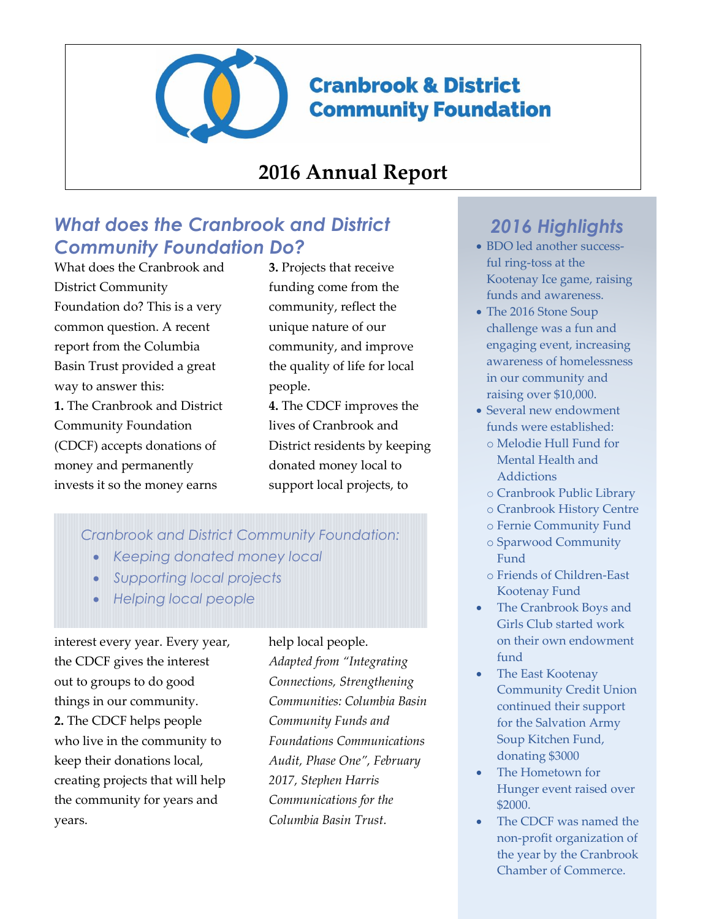

# **Cranbrook & District Community Foundation**

## T **2016 Annual Report**

### *What does the Cranbrook and District Community Foundation Do?*

What does the Cranbrook and District Community Foundation do? This is a very common question. A recent report from the Columbia Basin Trust provided a great way to answer this: **1.** The Cranbrook and District Community Foundation (CDCF) accepts donations of money and permanently invests it so the money earns

**3.** Projects that receive funding come from the community, reflect the unique nature of our community, and improve the quality of life for local people.

**4.** The CDCF improves the lives of Cranbrook and District residents by keeping donated money local to support local projects, to

*Cranbrook and District Community Foundation:*

- *Keeping donated money local*
- *Supporting local projects*
- *Helping local people*

interest every year. Every year, the CDCF gives the interest out to groups to do good things in our community. **2.** The CDCF helps people who live in the community to keep their donations local, creating projects that will help the community for years and years.

help local people. *Adapted from "Integrating Connections, Strengthening Communities: Columbia Basin Community Funds and Foundations Communications Audit, Phase One", February 2017, Stephen Harris Communications for the Columbia Basin Trust.*

# *2016 Highlights*

- BDO led another successful ring-toss at the Kootenay Ice game, raising funds and awareness.
- The 2016 Stone Soup challenge was a fun and engaging event, increasing awareness of homelessness in our community and raising over \$10,000.
- Several new endowment funds were established:
	- o Melodie Hull Fund for Mental Health and Addictions
	- o Cranbrook Public Library
	- o Cranbrook History Centre
	- o Fernie Community Fund
	- o Sparwood Community Fund
- o Friends of Children-East Kootenay Fund
- The Cranbrook Boys and Girls Club started work on their own endowment fund
- The East Kootenay Community Credit Union continued their support for the Salvation Army Soup Kitchen Fund, donating \$3000
- The Hometown for Hunger event raised over \$2000.
- The CDCF was named the non-profit organization of the year by the Cranbrook Chamber of Commerce.